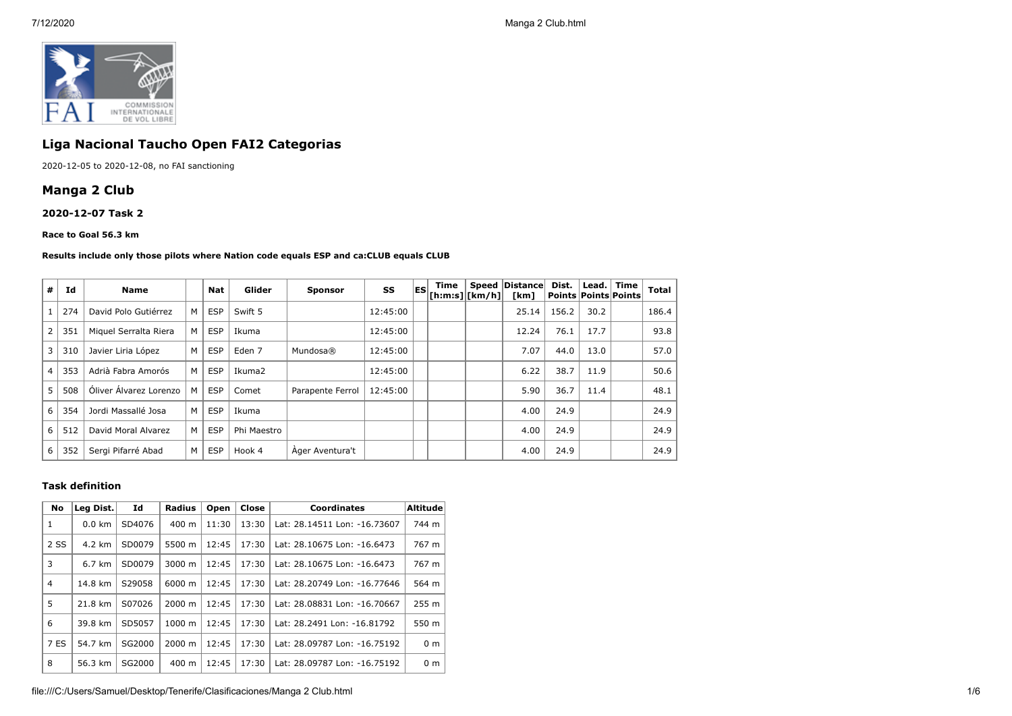

# **Liga Nacional Taucho Open FAI2 Categorias**

2020-12-05 to 2020-12-08, no FAI sanctioning

# **Manga 2 Club**

**2020-12-07 Task 2**

#### **Race to Goal 56.3 km**

#### **Results include only those pilots where Nation code equals ESP and ca:CLUB equals CLUB**

| #              | Id  | Name                   |                | Nat        | Glider            | <b>Sponsor</b>   | SS       | <b>ESI</b> | Time<br>$ $ [h:m:s] $ $ [km/h] $ $ | Speed   Distance  <br>[km] | Dist. | Lead. Time<br><b>Points Points Points</b> | <b>Total</b> |
|----------------|-----|------------------------|----------------|------------|-------------------|------------------|----------|------------|------------------------------------|----------------------------|-------|-------------------------------------------|--------------|
|                | 274 | David Polo Gutiérrez   | M              | <b>ESP</b> | Swift 5           |                  | 12:45:00 |            |                                    | 25.14                      | 156.2 | 30.2                                      | 186.4        |
| $\overline{2}$ | 351 | Miguel Serralta Riera  | M              | <b>ESP</b> | Ikuma             |                  | 12:45:00 |            |                                    | 12.24                      | 76.1  | 17.7                                      | 93.8         |
| $\overline{3}$ | 310 | Javier Liria López     | M              | <b>ESP</b> | Eden <sub>7</sub> | Mundosa®         | 12:45:00 |            |                                    | 7.07                       | 44.0  | 13.0                                      | 57.0         |
| $\overline{4}$ | 353 | Adrià Fabra Amorós     | M              | <b>ESP</b> | Ikuma2            |                  | 12:45:00 |            |                                    | 6.22                       | 38.7  | 11.9                                      | 50.6         |
| 5              | 508 | Óliver Álvarez Lorenzo | м              | <b>ESP</b> | Comet             | Parapente Ferrol | 12:45:00 |            |                                    | 5.90                       | 36.7  | 11.4                                      | 48.1         |
| 6              | 354 | Jordi Massallé Josa    | M              | <b>ESP</b> | Ikuma             |                  |          |            |                                    | 4.00                       | 24.9  |                                           | 24.9         |
| 6              | 512 | David Moral Alvarez    | M              | <b>ESP</b> | Phi Maestro       |                  |          |            |                                    | 4.00                       | 24.9  |                                           | 24.9         |
| 6              | 352 | Sergi Pifarré Abad     | M <sub>1</sub> | <b>ESP</b> | Hook 4            | Ager Aventura't  |          |            |                                    | 4.00                       | 24.9  |                                           | 24.9         |

#### **Task definition**

| No             | Leg Dist. | Id     | <b>Radius</b> | Open  | Close | <b>Coordinates</b>           | <b>Altitude</b> |
|----------------|-----------|--------|---------------|-------|-------|------------------------------|-----------------|
| 1              | $0.0$ km  | SD4076 | 400 m         | 11:30 | 13:30 | Lat: 28.14511 Lon: -16.73607 | 744 m           |
| 2 SS           | 4.2 km    | SD0079 | 5500 m        | 12:45 | 17:30 | Lat: 28.10675 Lon: -16.6473  | 767 m           |
| 3              | 6.7 km    | SD0079 | 3000 m        | 12:45 | 17:30 | Lat: 28.10675 Lon: -16.6473  | 767 m           |
| $\overline{4}$ | 14.8 km   | S29058 | 6000 m        | 12:45 | 17:30 | Lat: 28.20749 Lon: -16.77646 | 564 m           |
| 5              | 21.8 km   | S07026 | 2000 m        | 12:45 | 17:30 | Lat: 28.08831 Lon: -16.70667 | 255 m           |
| 6              | 39.8 km   | SD5057 | 1000 m        | 12:45 | 17:30 | Lat: 28.2491 Lon: -16.81792  | 550 m           |
| 7 ES           | 54.7 km   | SG2000 | 2000 m        | 12:45 | 17:30 | Lat: 28.09787 Lon: -16.75192 | 0 <sub>m</sub>  |
| 8              | 56.3 km   | SG2000 | 400 m         | 12:45 | 17:30 | Lat: 28.09787 Lon: -16.75192 | 0 <sub>m</sub>  |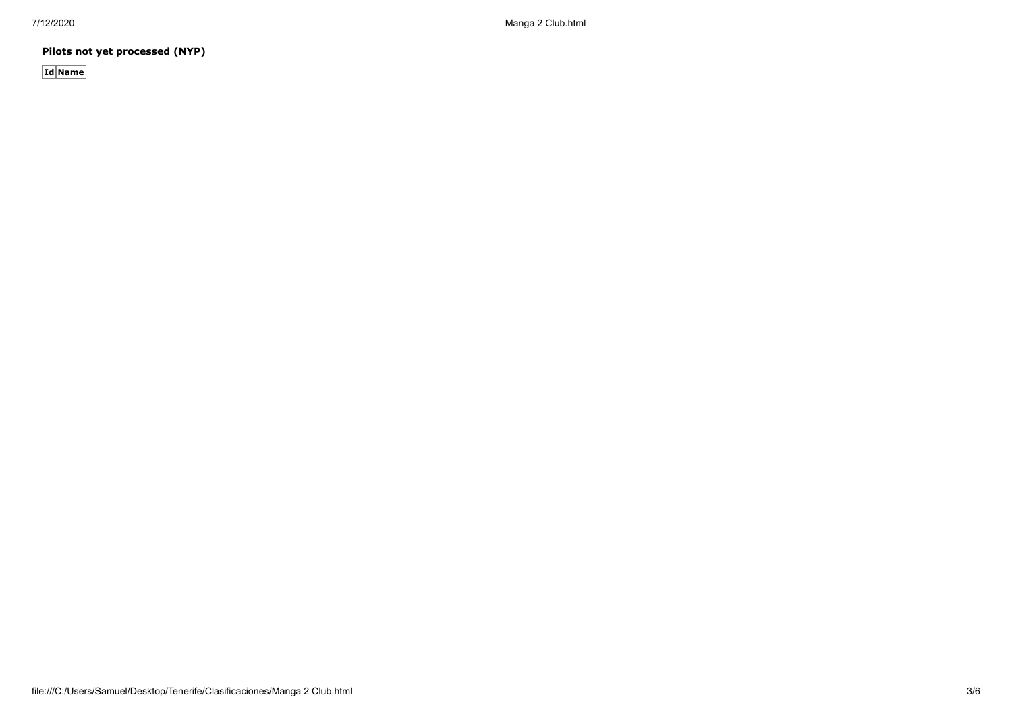**Pilots not yet processed (NYP)**

**Id Name**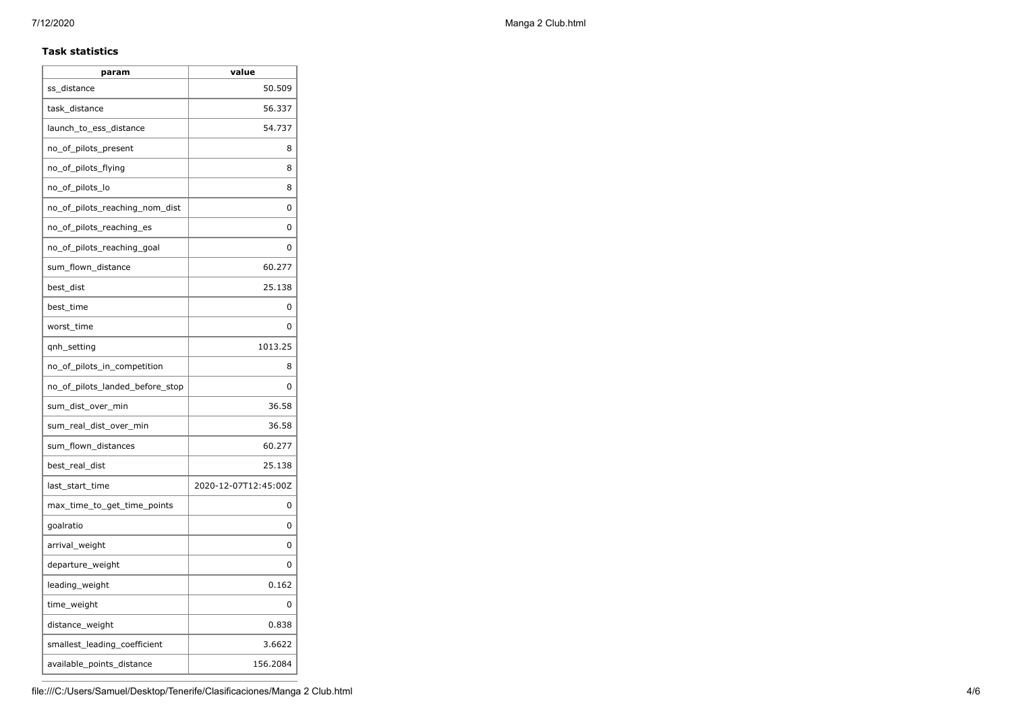### **Task statistics**

| ss distance<br>task_distance<br>launch_to_ess_distance<br>no_of_pilots_present<br>no_of_pilots_flying<br>no_of_pilots_lo<br>no of pilots reaching nom dist<br>no_of_pilots_reaching_es<br>no_of_pilots_reaching_goal<br>sum_flown_distance<br>best_dist<br>best time<br>worst_time<br>qnh_setting<br>no_of_pilots_in_competition<br>no_of_pilots_landed_before_stop<br>sum_dist_over_min<br>sum_real_dist_over_min<br>sum_flown_distances<br>best_real_dist<br>last_start_time<br>max_time_to_get_time_points<br>goalratio<br>arrival_weight<br>departure_weight | param | value                |
|------------------------------------------------------------------------------------------------------------------------------------------------------------------------------------------------------------------------------------------------------------------------------------------------------------------------------------------------------------------------------------------------------------------------------------------------------------------------------------------------------------------------------------------------------------------|-------|----------------------|
|                                                                                                                                                                                                                                                                                                                                                                                                                                                                                                                                                                  |       | 50.509               |
|                                                                                                                                                                                                                                                                                                                                                                                                                                                                                                                                                                  |       | 56.337               |
|                                                                                                                                                                                                                                                                                                                                                                                                                                                                                                                                                                  |       | 54.737               |
|                                                                                                                                                                                                                                                                                                                                                                                                                                                                                                                                                                  |       | 8                    |
|                                                                                                                                                                                                                                                                                                                                                                                                                                                                                                                                                                  |       | 8                    |
|                                                                                                                                                                                                                                                                                                                                                                                                                                                                                                                                                                  |       | 8                    |
|                                                                                                                                                                                                                                                                                                                                                                                                                                                                                                                                                                  |       | 0                    |
|                                                                                                                                                                                                                                                                                                                                                                                                                                                                                                                                                                  |       | 0                    |
|                                                                                                                                                                                                                                                                                                                                                                                                                                                                                                                                                                  |       | O                    |
|                                                                                                                                                                                                                                                                                                                                                                                                                                                                                                                                                                  |       | 60.277               |
|                                                                                                                                                                                                                                                                                                                                                                                                                                                                                                                                                                  |       | 25.138               |
|                                                                                                                                                                                                                                                                                                                                                                                                                                                                                                                                                                  |       | 0                    |
|                                                                                                                                                                                                                                                                                                                                                                                                                                                                                                                                                                  |       | 0                    |
|                                                                                                                                                                                                                                                                                                                                                                                                                                                                                                                                                                  |       | 1013.25              |
|                                                                                                                                                                                                                                                                                                                                                                                                                                                                                                                                                                  |       | 8                    |
|                                                                                                                                                                                                                                                                                                                                                                                                                                                                                                                                                                  |       | 0                    |
|                                                                                                                                                                                                                                                                                                                                                                                                                                                                                                                                                                  |       | 36.58                |
|                                                                                                                                                                                                                                                                                                                                                                                                                                                                                                                                                                  |       | 36.58                |
|                                                                                                                                                                                                                                                                                                                                                                                                                                                                                                                                                                  |       | 60.277               |
|                                                                                                                                                                                                                                                                                                                                                                                                                                                                                                                                                                  |       | 25.138               |
|                                                                                                                                                                                                                                                                                                                                                                                                                                                                                                                                                                  |       | 2020-12-07T12:45:00Z |
|                                                                                                                                                                                                                                                                                                                                                                                                                                                                                                                                                                  |       | 0                    |
|                                                                                                                                                                                                                                                                                                                                                                                                                                                                                                                                                                  |       | 0                    |
|                                                                                                                                                                                                                                                                                                                                                                                                                                                                                                                                                                  |       | 0                    |
|                                                                                                                                                                                                                                                                                                                                                                                                                                                                                                                                                                  |       | 0                    |
| leading_weight                                                                                                                                                                                                                                                                                                                                                                                                                                                                                                                                                   |       | 0.162                |
| time_weight                                                                                                                                                                                                                                                                                                                                                                                                                                                                                                                                                      |       | 0                    |
| distance_weight                                                                                                                                                                                                                                                                                                                                                                                                                                                                                                                                                  |       | 0.838                |
| smallest_leading_coefficient                                                                                                                                                                                                                                                                                                                                                                                                                                                                                                                                     |       | 3.6622               |
| available_points_distance                                                                                                                                                                                                                                                                                                                                                                                                                                                                                                                                        |       | 156.2084             |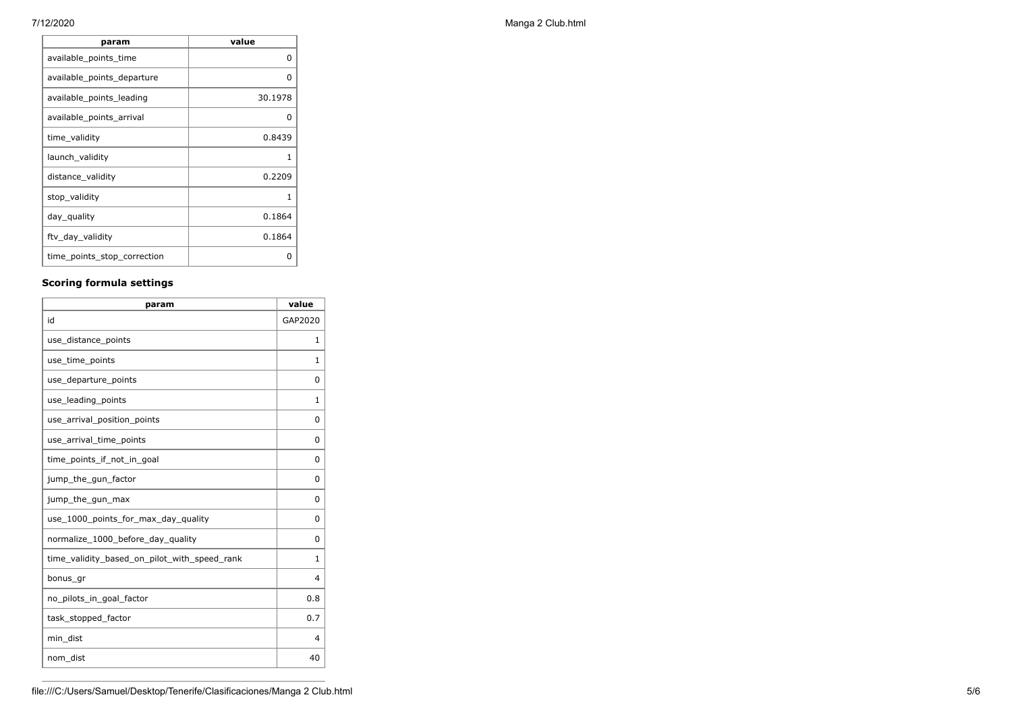| param                       | value   |
|-----------------------------|---------|
| available_points_time       | 0       |
| available_points_departure  | O       |
| available points leading    | 30.1978 |
| available_points_arrival    | 0       |
| time_validity               | 0.8439  |
| launch_validity             |         |
| distance_validity           | 0.2209  |
| stop_validity               | 1       |
| day_quality                 | 0.1864  |
| ftv_day_validity            | 0.1864  |
| time_points_stop_correction | Ω       |

## **Scoring formula settings**

| param                                        | value        |
|----------------------------------------------|--------------|
| id                                           | GAP2020      |
| use_distance_points                          | 1            |
| use_time_points                              | 1            |
| use_departure_points                         | 0            |
| use_leading_points                           | $\mathbf{1}$ |
| use_arrival_position_points                  | $\Omega$     |
| use_arrival_time_points                      | $\Omega$     |
| time points if not in goal                   | $\Omega$     |
| jump_the_gun_factor                          | $\Omega$     |
| jump_the_gun_max                             | $\Omega$     |
| use_1000_points_for_max_day_quality          | 0            |
| normalize_1000_before_day_quality            | $\Omega$     |
| time_validity_based_on_pilot_with_speed_rank | $\mathbf{1}$ |
| bonus_gr                                     | 4            |
| no_pilots_in_goal_factor                     | 0.8          |
| task_stopped_factor                          | 0.7          |
| min_dist                                     | 4            |
| nom_dist                                     | 40           |